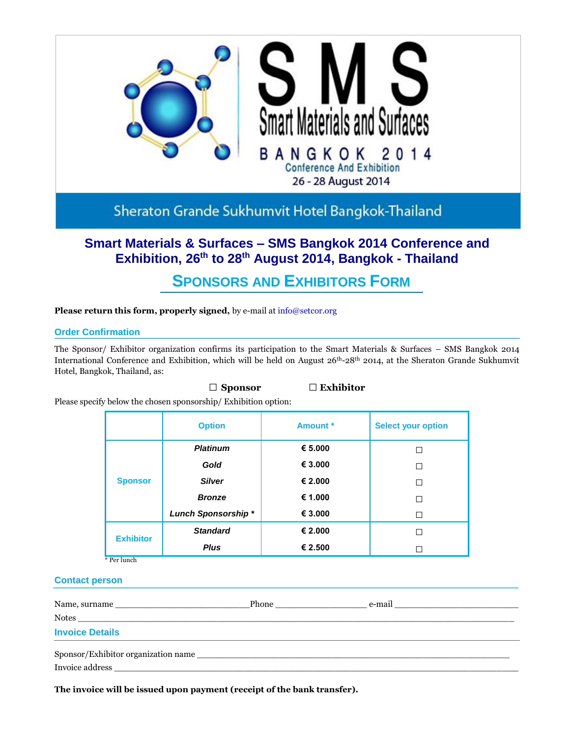

Sheraton Grande Sukhumvit Hotel Bangkok-Thailand

# **Smart Materials & Surfaces – SMS Bangkok 2014 Conference and Exhibition, 26th to 28th August 2014, Bangkok - Thailand**

**SPONSORS AND EXHIBITORS FORM**

**Please return this form, properly signed,** by e-mail a[t info@setcor.org](mailto:info@setcor.org)

# **Order Confirmation**

The Sponsor/ Exhibitor organization confirms its participation to the Smart Materials & Surfaces – SMS Bangkok 2014 International Conference and Exhibition, which will be held on August 26th-28th 2014, at the Sheraton Grande Sukhumvit Hotel, Bangkok, Thailand, as:

□ **Sponsor** □ **Exhibitor**

Please specify below the chosen sponsorship/ Exhibition option:

|                  | <b>Option</b>              | Amount * | <b>Select your option</b> |
|------------------|----------------------------|----------|---------------------------|
| <b>Sponsor</b>   | <b>Platinum</b>            | € 5.000  |                           |
|                  | Gold                       | € 3.000  | П                         |
|                  | <b>Silver</b>              | € 2.000  | П                         |
|                  | <b>Bronze</b>              | € 1.000  | П                         |
|                  | <b>Lunch Sponsorship *</b> | € 3.000  | П                         |
| <b>Exhibitor</b> | <b>Standard</b>            | € 2.000  |                           |
|                  | <b>Plus</b>                | € 2.500  |                           |

\* Per lunch

# **Contact person**

|                                     | Phone | e-mail |  |
|-------------------------------------|-------|--------|--|
| Notes                               |       |        |  |
| <b>Invoice Details</b>              |       |        |  |
| Sponsor/Exhibitor organization name |       |        |  |
| Invoice address                     |       |        |  |

**The invoice will be issued upon payment (receipt of the bank transfer).**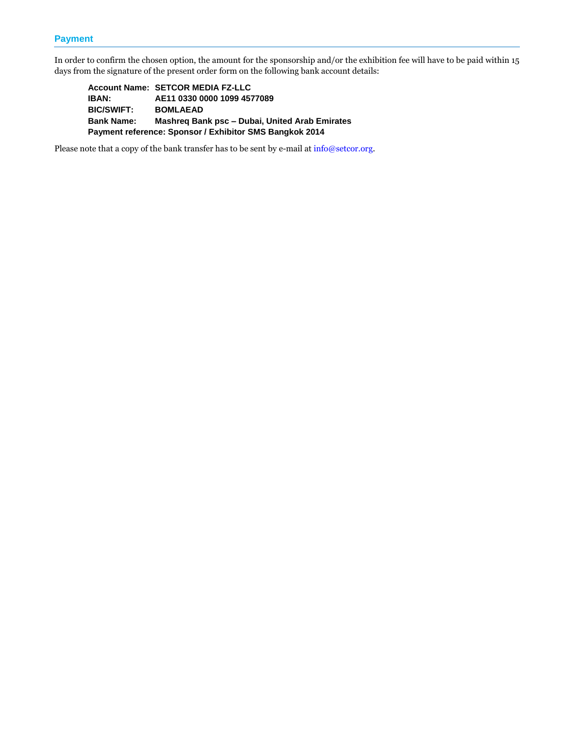In order to confirm the chosen option, the amount for the sponsorship and/or the exhibition fee will have to be paid within 15 days from the signature of the present order form on the following bank account details:

**Account Name: SETCOR MEDIA FZ-LLC IBAN: AE11 0330 0000 1099 4577089 BIC/SWIFT: BOMLAEAD Bank Name: Mashreq Bank psc – Dubai, United Arab Emirates Payment reference: Sponsor / Exhibitor SMS Bangkok 2014**

Please note that a copy of the bank transfer has to be sent by e-mail at [info@setcor.org.](mailto:info@setcor.org)